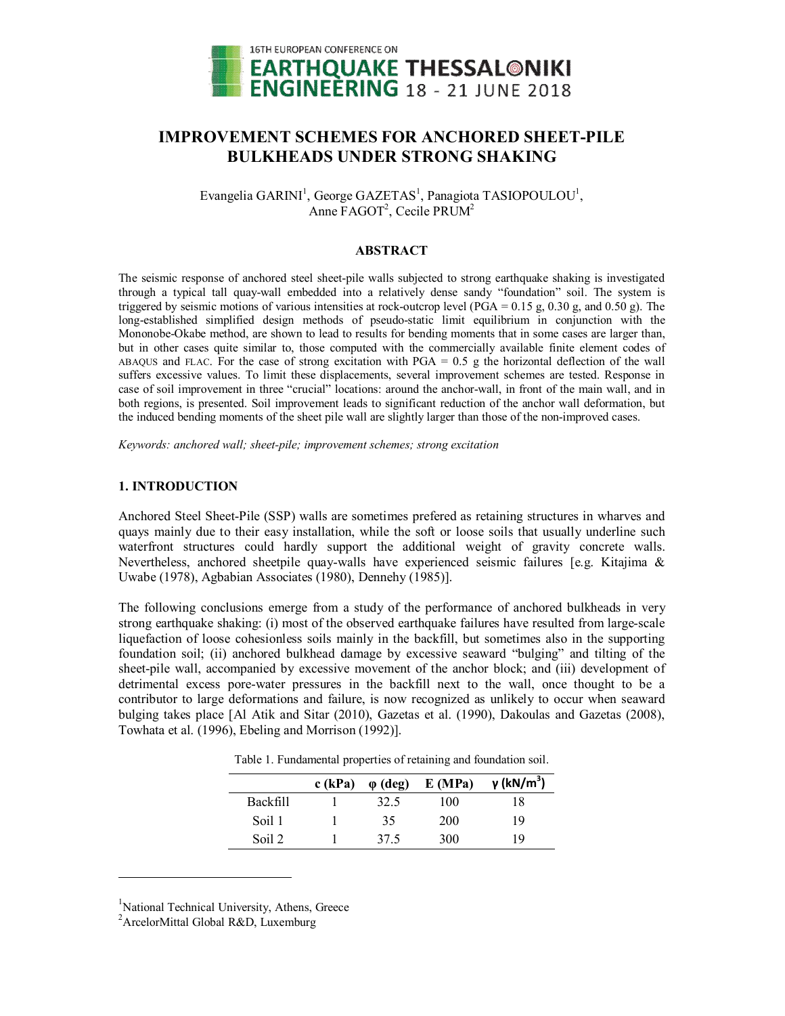

# **IMPROVEMENT SCHEMES FOR ANCHORED SHEET-PILE BULKHEADS UNDER STRONG SHAKING**

Evangelia GARINI<sup>1</sup>, George GAZETAS<sup>1</sup>, Panagiota TASIOPOULOU<sup>1</sup>, Anne FAGOT<sup>2</sup>, Cecile PRUM<sup>2</sup>

#### **ABSTRACT**

The seismic response of anchored steel sheet-pile walls subjected to strong earthquake shaking is investigated through a typical tall quay-wall embedded into a relatively dense sandy "foundation" soil. The system is triggered by seismic motions of various intensities at rock-outcrop level (PGA =  $0.15$  g,  $0.30$  g, and  $0.50$  g). The long-established simplified design methods of pseudo-static limit equilibrium in conjunction with the Mononobe-Okabe method, are shown to lead to results for bending moments that in some cases are larger than, but in other cases quite similar to, those computed with the commercially available finite element codes of ABAQUS and FLAC. For the case of strong excitation with  $PGA = 0.5$  g the horizontal deflection of the wall suffers excessive values. To limit these displacements, several improvement schemes are tested. Response in case of soil improvement in three "crucial" locations: around the anchor-wall, in front of the main wall, and in both regions, is presented. Soil improvement leads to significant reduction of the anchor wall deformation, but the induced bending moments of the sheet pile wall are slightly larger than those of the non-improved cases.

*Keywords: anchored wall; sheet-pile; improvement schemes; strong excitation*

## **1. INTRODUCTION**

Anchored Steel Sheet-Pile (SSP) walls are sometimes prefered as retaining structures in wharves and quays mainly due to their easy installation, while the soft or loose soils that usually underline such waterfront structures could hardly support the additional weight of gravity concrete walls. Nevertheless, anchored sheetpile quay-walls have experienced seismic failures [e.g. Kitajima & Uwabe (1978), Agbabian Associates (1980), Dennehy (1985)].

The following conclusions emerge from a study of the performance of anchored bulkheads in very strong earthquake shaking: (i) most of the observed earthquake failures have resulted from large-scale liquefaction of loose cohesionless soils mainly in the backfill, but sometimes also in the supporting foundation soil; (ii) anchored bulkhead damage by excessive seaward "bulging" and tilting of the sheet-pile wall, accompanied by excessive movement of the anchor block; and (iii) development of detrimental excess pore-water pressures in the backfill next to the wall, once thought to be a contributor to large deformations and failure, is now recognized as unlikely to occur when seaward bulging takes place [Al Atik and Sitar (2010), Gazetas et al. (1990), Dakoulas and Gazetas (2008), Towhata et al. (1996), Ebeling and Morrison (1992)].

Table 1. Fundamental properties of retaining and foundation soil.

|                 | $c$ (kPa) | $\varphi$ (deg) | E(MPa) | γ (kN/m <sup>3</sup> ) |
|-----------------|-----------|-----------------|--------|------------------------|
| <b>Backfill</b> |           | 32.5            | 100    | 18                     |
| Soil 1          |           | 35              | 200    | 19                     |
| Soil 2          |           | 37.5            | 300    | 19                     |

<sup>1</sup>National Technical University, Athens, Greece

<sup>2</sup>ArcelorMittal Global R&D, Luxemburg

l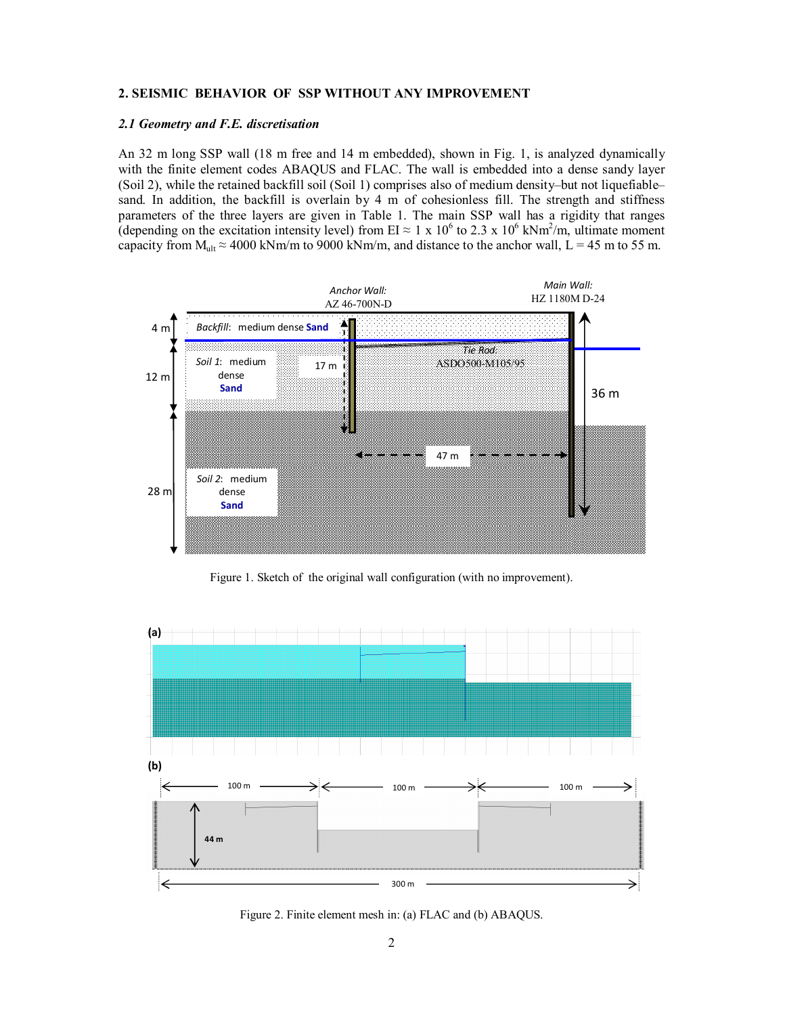## **2. SEISMIC BEHAVIOR OF SSP WITHOUT ANY IMPROVEMENT**

#### *2.1 Geometry and F.E. discretisation*

An 32 m long SSP wall (18 m free and 14 m embedded), shown in Fig. 1, is analyzed dynamically with the finite element codes ABAQUS and FLAC. The wall is embedded into a dense sandy layer (Soil 2), while the retained backfill soil (Soil 1) comprises also of medium density–but not liquefiable– sand. In addition, the backfill is overlain by 4 m of cohesionless fill. The strength and stiffness parameters of the three layers are given in Table 1. The main SSP wall has a rigidity that ranges (depending on the excitation intensity level) from EI  $\approx 1 \times 10^6$  to 2.3 x 10<sup>6</sup> kNm<sup>2</sup>/m, ultimate moment capacity from  $M_{ult} \approx 4000 \text{ kNm/m}$  to 9000 kNm/m, and distance to the anchor wall, L = 45 m to 55 m.



Figure 1. Sketch of the original wall configuration (with no improvement).



Figure 2. Finite element mesh in: (a) FLAC and (b) ABAQUS.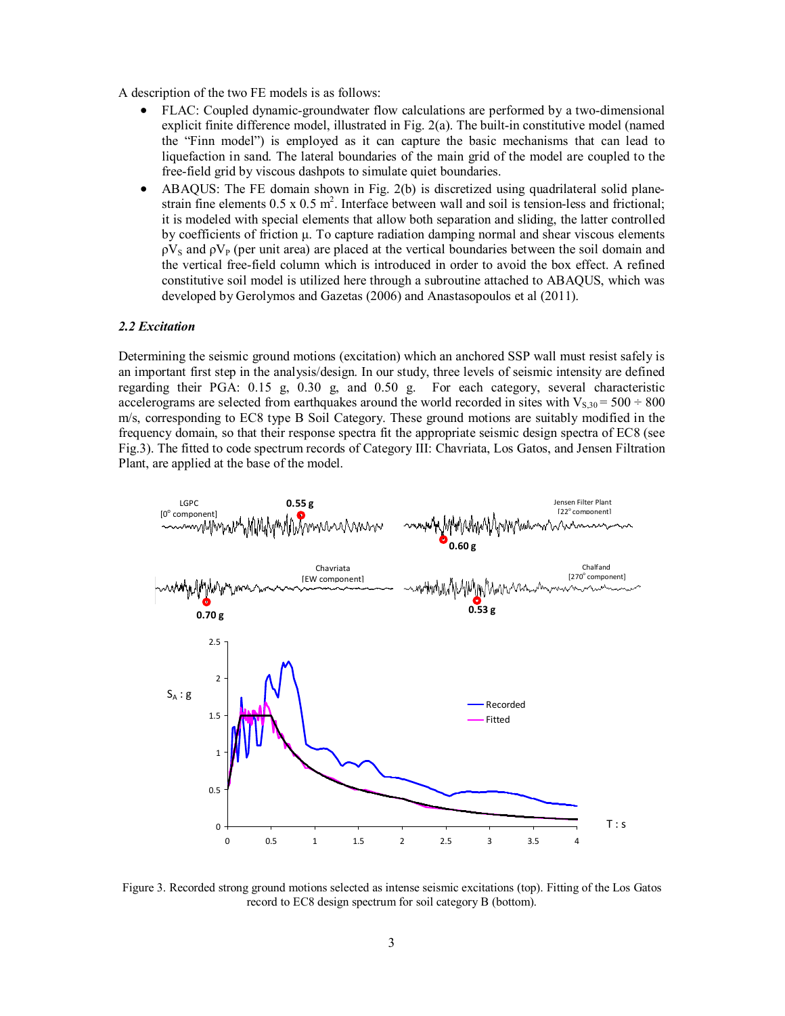A description of the two FE models is as follows:

- FLAC: Coupled dynamic-groundwater flow calculations are performed by a two-dimensional explicit finite difference model, illustrated in Fig. 2(a). The built-in constitutive model (named the "Finn model") is employed as it can capture the basic mechanisms that can lead to liquefaction in sand. The lateral boundaries of the main grid of the model are coupled to the free-field grid by viscous dashpots to simulate quiet boundaries.
- ABAQUS: The FE domain shown in Fig. 2(b) is discretized using quadrilateral solid planestrain fine elements  $0.5 \times 0.5 \text{ m}^2$ . Interface between wall and soil is tension-less and frictional; it is modeled with special elements that allow both separation and sliding, the latter controlled by coefficients of friction μ. To capture radiation damping normal and shear viscous elements  $pV_s$  and  $pV_p$  (per unit area) are placed at the vertical boundaries between the soil domain and the vertical free-field column which is introduced in order to avoid the box effect. A refined constitutive soil model is utilized here through a subroutine attached to ABAQUS, which was developed by Gerolymos and Gazetas (2006) and Anastasopoulos et al (2011).

## *2.2 Excitation*

Determining the seismic ground motions (excitation) which an anchored SSP wall must resist safely is an important first step in the analysis/design. In our study, three levels of seismic intensity are defined regarding their PGA: 0.15 g, 0.30 g, and 0.50 g. For each category, several characteristic accelerograms are selected from earthquakes around the world recorded in sites with  $V_{S,30} = 500 \div 800$ m/s, corresponding to EC8 type B Soil Category. These ground motions are suitably modified in the frequency domain, so that their response spectra fit the appropriate seismic design spectra of EC8 (see Fig.3). The fitted to code spectrum records of Category III: Chavriata, Los Gatos, and Jensen Filtration Plant, are applied at the base of the model.



Figure 3. Recorded strong ground motions selected as intense seismic excitations (top). Fitting of the Los Gatos record to EC8 design spectrum for soil category B (bottom).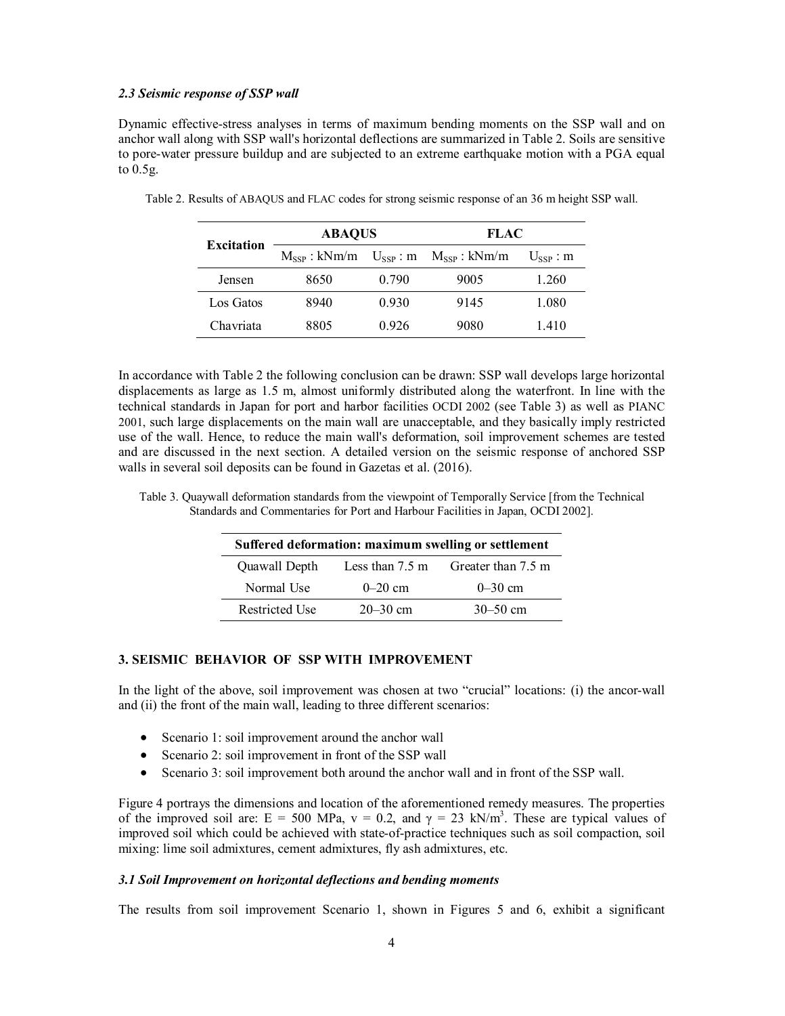#### *2.3 Seismic response of SSP wall*

Dynamic effective-stress analyses in terms of maximum bending moments on the SSP wall and on anchor wall along with SSP wall's horizontal deflections are summarized in Table 2. Soils are sensitive to pore-water pressure buildup and are subjected to an extreme earthquake motion with a PGA equal to 0.5g.

| Excitation | <b>ABAOUS</b> |       | <b>FLAC</b>                                       |                   |
|------------|---------------|-------|---------------------------------------------------|-------------------|
|            |               |       | $M_{SSP}$ : kNm/m $U_{SSP}$ : m $M_{SSP}$ : kNm/m | $U_{\rm SSP}$ : m |
| Jensen     | 8650          | 0.790 | 9005                                              | 1.260             |
| Los Gatos  | 8940          | 0.930 | 9145                                              | 1.080             |
| Chavriata  | 8805          | 0.926 | 9080                                              | 1.410             |

Table 2. Results of ABAQUS and FLAC codes for strong seismic response of an 36 m height SSP wall.

In accordance with Table 2 the following conclusion can be drawn: SSP wall develops large horizontal displacements as large as 1.5 m, almost uniformly distributed along the waterfront. In line with the technical standards in Japan for port and harbor facilities OCDI 2002 (see Table 3) as well as PIANC 2001, such large displacements on the main wall are unacceptable, and they basically imply restricted use of the wall. Hence, to reduce the main wall's deformation, soil improvement schemes are tested and are discussed in the next section. A detailed version on the seismic response of anchored SSP walls in several soil deposits can be found in Gazetas et al. (2016).

Table 3. Quaywall deformation standards from the viewpoint of Temporally Service [from the Technical Standards and Commentaries for Port and Harbour Facilities in Japan, OCDI 2002].

| Suffered deformation: maximum swelling or settlement |                           |                    |  |  |  |
|------------------------------------------------------|---------------------------|--------------------|--|--|--|
| Quawall Depth                                        | Less than $7.5 \text{ m}$ | Greater than 7.5 m |  |  |  |
| Normal Use                                           | $0 - 20$ cm               | $0 - 30$ cm        |  |  |  |
| <b>Restricted Use</b>                                | $20 - 30$ cm              | $30 - 50$ cm       |  |  |  |

## **3. SEISMIC BEHAVIOR OF SSP WITH IMPROVEMENT**

In the light of the above, soil improvement was chosen at two "crucial" locations: (i) the ancor-wall and (ii) the front of the main wall, leading to three different scenarios:

- Scenario 1: soil improvement around the anchor wall
- Scenario 2: soil improvement in front of the SSP wall
- Scenario 3: soil improvement both around the anchor wall and in front of the SSP wall.

Figure 4 portrays the dimensions and location of the aforementioned remedy measures. The properties of the improved soil are:  $E = 500 \text{ MPa}$ ,  $v = 0.2$ , and  $\gamma = 23 \text{ kN/m}^3$ . These are typical values of improved soil which could be achieved with state-of-practice techniques such as soil compaction, soil mixing: lime soil admixtures, cement admixtures, fly ash admixtures, etc.

#### *3.1 Soil Improvement on horizontal deflections and bending moments*

The results from soil improvement Scenario 1, shown in Figures 5 and 6, exhibit a significant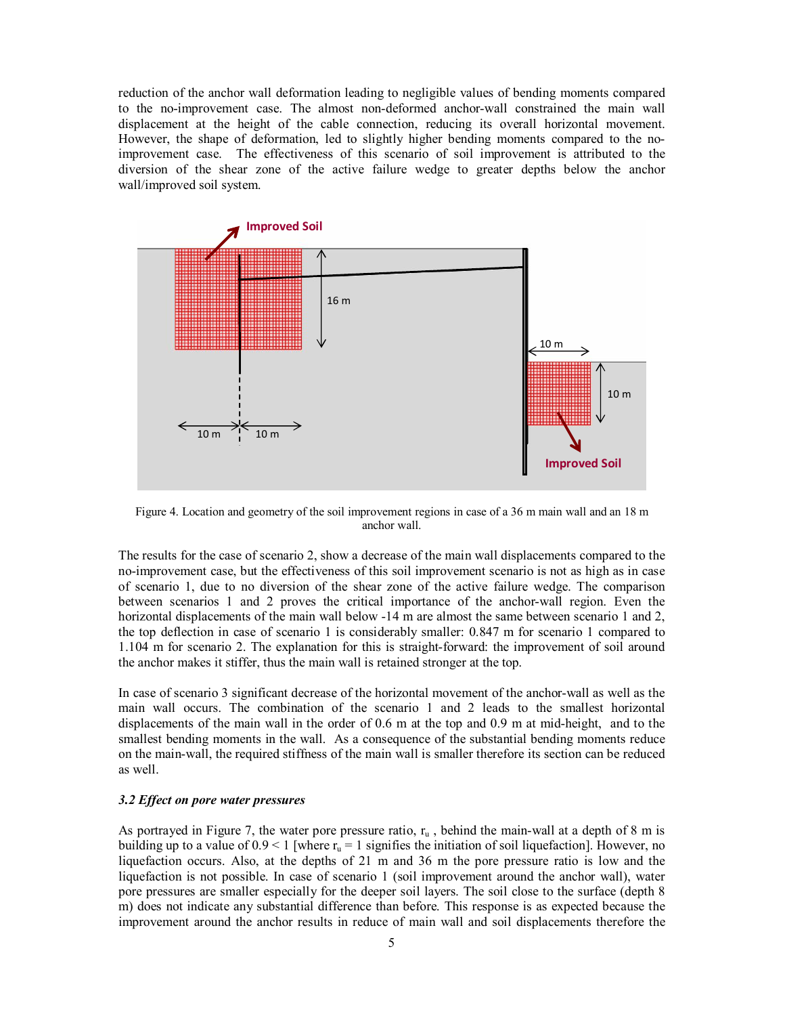reduction of the anchor wall deformation leading to negligible values of bending moments compared to the no-improvement case. The almost non-deformed anchor-wall constrained the main wall displacement at the height of the cable connection, reducing its overall horizontal movement. However, the shape of deformation, led to slightly higher bending moments compared to the noimprovement case. The effectiveness of this scenario of soil improvement is attributed to the diversion of the shear zone of the active failure wedge to greater depths below the anchor wall/improved soil system.



Figure 4. Location and geometry of the soil improvement regions in case of a 36 m main wall and an 18 m anchor wall.

The results for the case of scenario 2, show a decrease of the main wall displacements compared to the no-improvement case, but the effectiveness of this soil improvement scenario is not as high as in case of scenario 1, due to no diversion of the shear zone of the active failure wedge. The comparison between scenarios 1 and 2 proves the critical importance of the anchor-wall region. Even the horizontal displacements of the main wall below -14 m are almost the same between scenario 1 and 2, the top deflection in case of scenario 1 is considerably smaller: 0.847 m for scenario 1 compared to 1.104 m for scenario 2. The explanation for this is straight-forward: the improvement of soil around the anchor makes it stiffer, thus the main wall is retained stronger at the top.

In case of scenario 3 significant decrease of the horizontal movement of the anchor-wall as well as the main wall occurs. The combination of the scenario 1 and 2 leads to the smallest horizontal displacements of the main wall in the order of 0.6 m at the top and 0.9 m at mid-height, and to the smallest bending moments in the wall. As a consequence of the substantial bending moments reduce on the main-wall, the required stiffness of the main wall is smaller therefore its section can be reduced as well.

#### *3.2 Effect on pore water pressures*

As portrayed in Figure 7, the water pore pressure ratio,  $r_u$ , behind the main-wall at a depth of 8 m is building up to a value of  $0.9 < 1$  [where  $r_u = 1$  signifies the initiation of soil liquefaction]. However, no liquefaction occurs. Also, at the depths of 21 m and 36 m the pore pressure ratio is low and the liquefaction is not possible. In case of scenario 1 (soil improvement around the anchor wall), water pore pressures are smaller especially for the deeper soil layers. The soil close to the surface (depth 8 m) does not indicate any substantial difference than before. This response is as expected because the improvement around the anchor results in reduce of main wall and soil displacements therefore the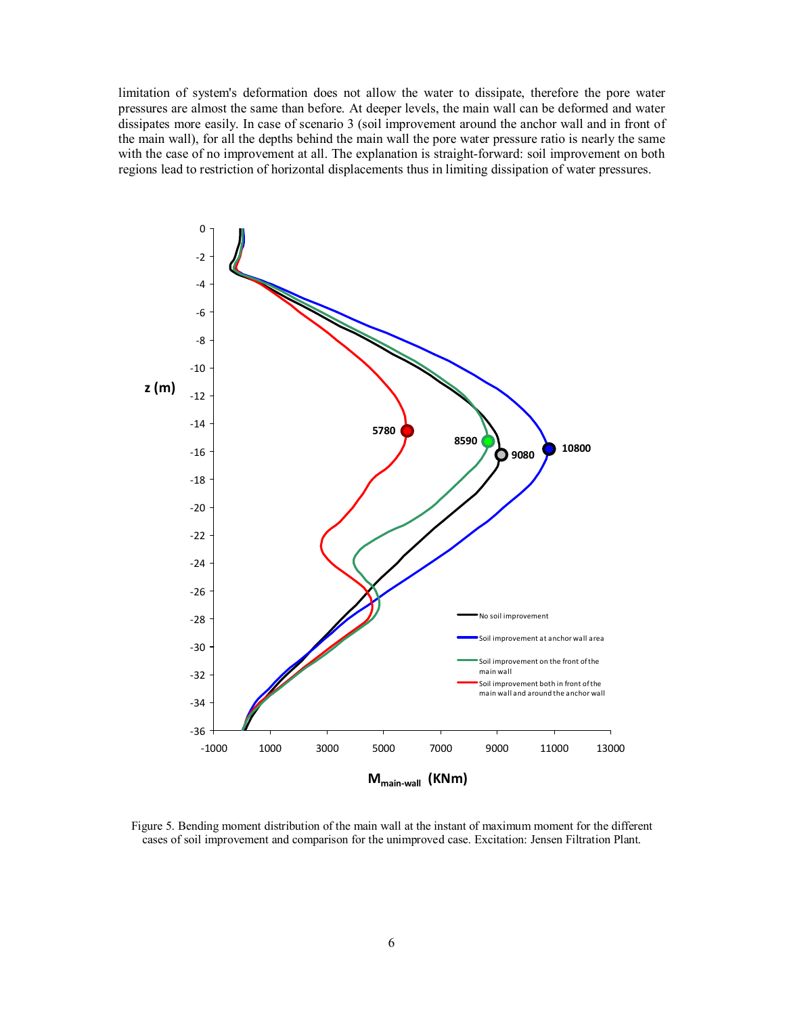limitation of system's deformation does not allow the water to dissipate, therefore the pore water pressures are almost the same than before. At deeper levels, the main wall can be deformed and water dissipates more easily. In case of scenario 3 (soil improvement around the anchor wall and in front of the main wall), for all the depths behind the main wall the pore water pressure ratio is nearly the same with the case of no improvement at all. The explanation is straight-forward: soil improvement on both regions lead to restriction of horizontal displacements thus in limiting dissipation of water pressures.



Figure 5. Bending moment distribution of the main wall at the instant of maximum moment for the different cases of soil improvement and comparison for the unimproved case. Excitation: Jensen Filtration Plant.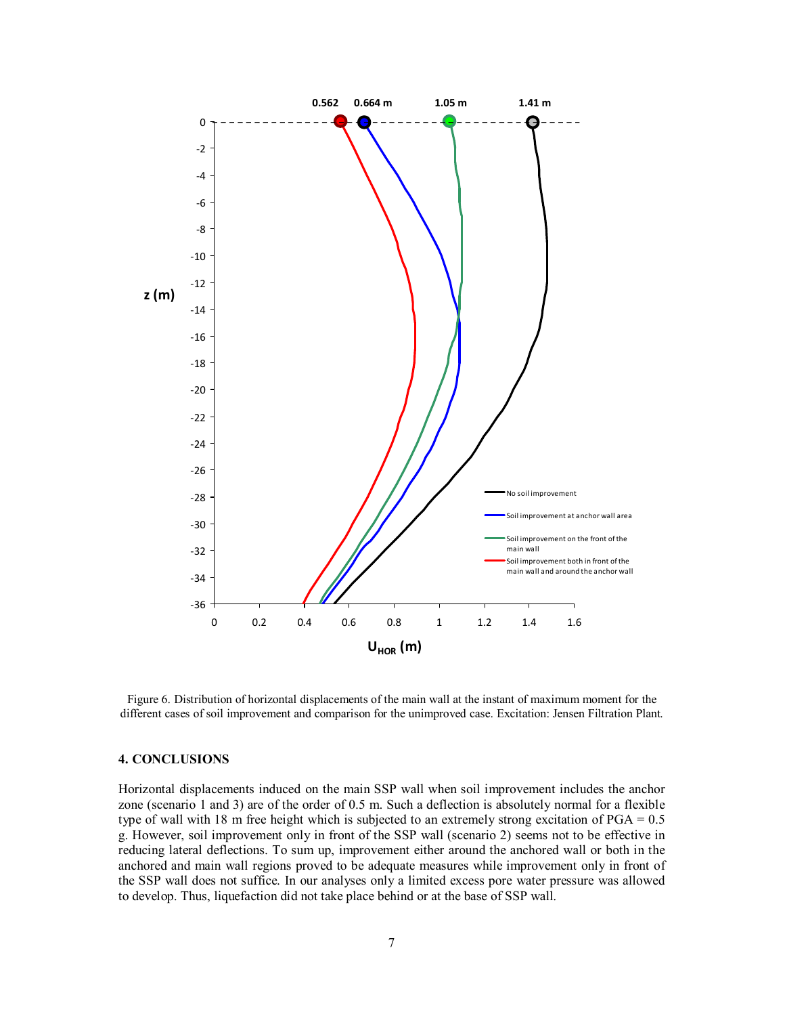

Figure 6. Distribution of horizontal displacements of the main wall at the instant of maximum moment for the different cases of soil improvement and comparison for the unimproved case. Excitation: Jensen Filtration Plant.

### **4. CONCLUSIONS**

Horizontal displacements induced on the main SSP wall when soil improvement includes the anchor zone (scenario 1 and 3) are of the order of 0.5 m. Such a deflection is absolutely normal for a flexible type of wall with 18 m free height which is subjected to an extremely strong excitation of PGA = 0.5 g. However, soil improvement only in front of the SSP wall (scenario 2) seems not to be effective in reducing lateral deflections. To sum up, improvement either around the anchored wall or both in the anchored and main wall regions proved to be adequate measures while improvement only in front of the SSP wall does not suffice. In our analyses only a limited excess pore water pressure was allowed to develop. Thus, liquefaction did not take place behind or at the base of SSP wall.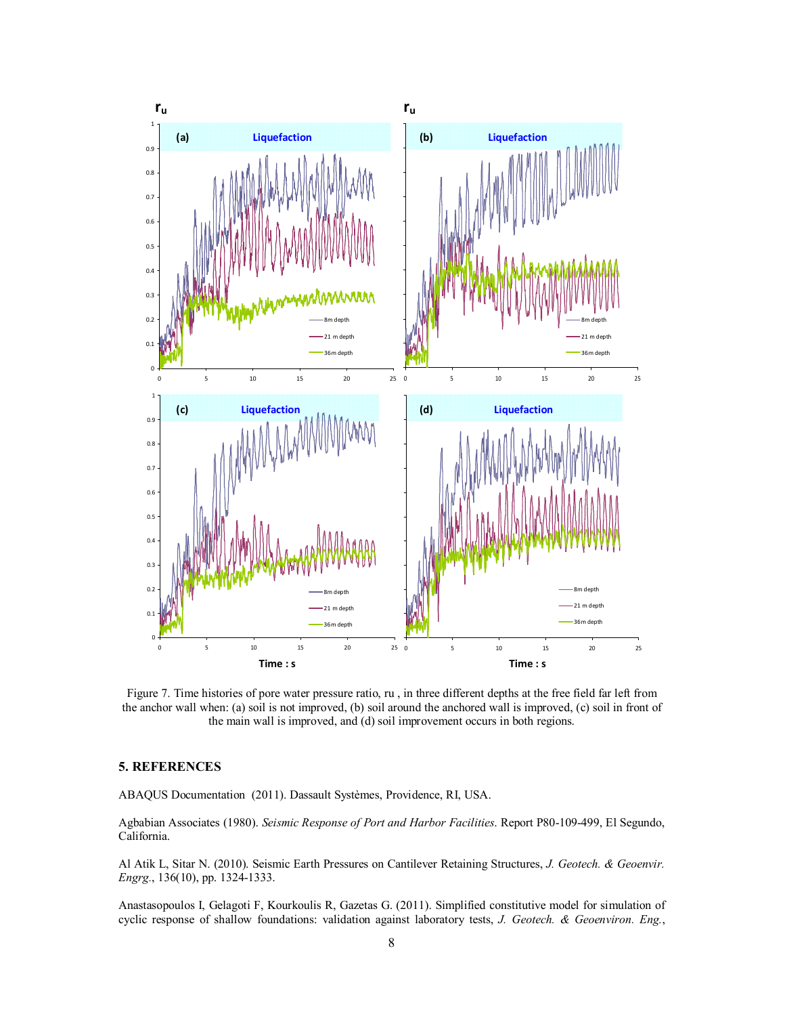

Figure 7. Time histories of pore water pressure ratio, ru , in three different depths at the free field far left from the anchor wall when: (a) soil is not improved, (b) soil around the anchored wall is improved, (c) soil in front of the main wall is improved, and (d) soil improvement occurs in both regions.

#### **5. REFERENCES**

ABAQUS Documentation (2011). Dassault Systèmes, Providence, RI, USA.

Agbabian Associates (1980). *Seismic Response of Port and Harbor Facilities*. Report P80-109-499, El Segundo, California.

Al Atik L, Sitar N. (2010). Seismic Earth Pressures on Cantilever Retaining Structures, *J. Geotech. & Geoenvir. Engrg.*, 136(10), pp. 1324-1333.

Anastasopoulos I, Gelagoti F, Kourkoulis R, Gazetas G. (2011). Simplified constitutive model for simulation of cyclic response of shallow foundations: validation against laboratory tests, *J. Geotech. & Geoenviron. Eng.*,